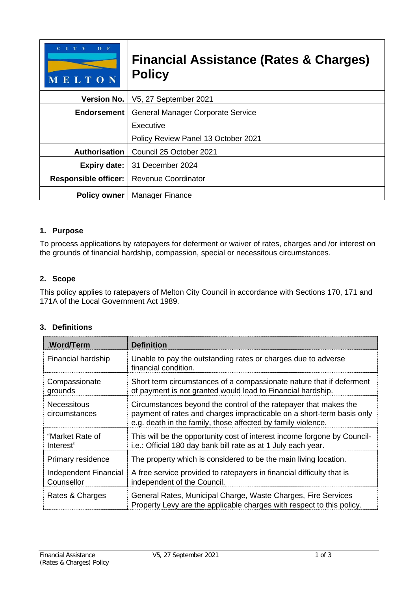| $O$ F<br>MELTON             | <b>Financial Assistance (Rates &amp; Charges)</b><br><b>Policy</b> |  |
|-----------------------------|--------------------------------------------------------------------|--|
| <b>Version No.</b>          | V5, 27 September 2021                                              |  |
| <b>Endorsement</b>          | <b>General Manager Corporate Service</b>                           |  |
|                             | Executive                                                          |  |
|                             | Policy Review Panel 13 October 2021                                |  |
| <b>Authorisation</b>        | Council 25 October 2021                                            |  |
| <b>Expiry date:</b>         | 31 December 2024                                                   |  |
| <b>Responsible officer:</b> | Revenue Coordinator                                                |  |
| <b>Policy owner</b>         | <b>Manager Finance</b>                                             |  |

# **1. Purpose**

To process applications by ratepayers for deferment or waiver of rates, charges and /or interest on the grounds of financial hardship, compassion, special or necessitous circumstances.

## **2. Scope**

This policy applies to ratepayers of Melton City Council in accordance with Sections 170, 171 and 171A of the Local Government Act 1989.

# **3. Definitions**

| <b>Word/Term</b>                           | <b>Definition</b>                                                                                                                                                                                         |
|--------------------------------------------|-----------------------------------------------------------------------------------------------------------------------------------------------------------------------------------------------------------|
| Financial hardship                         | Unable to pay the outstanding rates or charges due to adverse<br>financial condition.                                                                                                                     |
| Compassionate<br>grounds                   | Short term circumstances of a compassionate nature that if deferment<br>of payment is not granted would lead to Financial hardship.                                                                       |
| <b>Necessitous</b><br>circumstances        | Circumstances beyond the control of the ratepayer that makes the<br>payment of rates and charges impracticable on a short-term basis only<br>e.g. death in the family, those affected by family violence. |
| "Market Rate of<br>Interest"               | This will be the opportunity cost of interest income forgone by Council-<br>i.e.: Official 180 day bank bill rate as at 1 July each year.                                                                 |
| Primary residence                          | The property which is considered to be the main living location.                                                                                                                                          |
| <b>Independent Financial</b><br>Counsellor | A free service provided to ratepayers in financial difficulty that is<br>independent of the Council.                                                                                                      |
| Rates & Charges                            | General Rates, Municipal Charge, Waste Charges, Fire Services<br>Property Levy are the applicable charges with respect to this policy.                                                                    |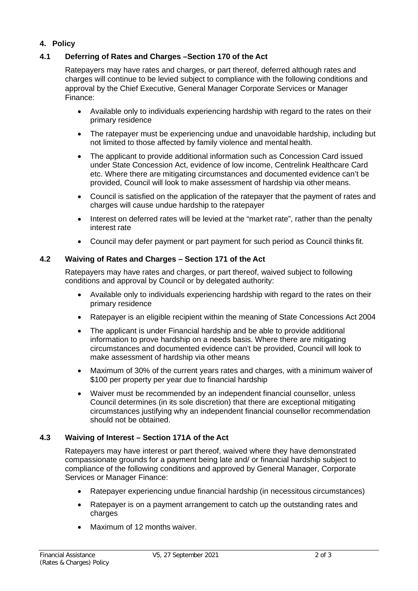## **4. Policy**

#### **4.1 Deferring of Rates and Charges –Section 170 of the Act**

Ratepayers may have rates and charges, or part thereof, deferred although rates and charges will continue to be levied subject to compliance with the following conditions and approval by the Chief Executive, General Manager Corporate Services or Manager Finance:

- Available only to individuals experiencing hardship with regard to the rates on their primary residence
- The ratepayer must be experiencing undue and unavoidable hardship, including but not limited to those affected by family violence and mental health.
- The applicant to provide additional information such as Concession Card issued under State Concession Act, evidence of low income, Centrelink Healthcare Card etc. Where there are mitigating circumstances and documented evidence can't be provided, Council will look to make assessment of hardship via other means.
- Council is satisfied on the application of the ratepayer that the payment of rates and charges will cause undue hardship to the ratepayer
- Interest on deferred rates will be levied at the "market rate", rather than the penalty interest rate
- Council may defer payment or part payment for such period as Council thinks fit.

#### **4.2 Waiving of Rates and Charges – Section 171 of the Act**

Ratepayers may have rates and charges, or part thereof, waived subject to following conditions and approval by Council or by delegated authority:

- Available only to individuals experiencing hardship with regard to the rates on their primary residence
- Ratepayer is an eligible recipient within the meaning of State Concessions Act 2004
- The applicant is under Financial hardship and be able to provide additional information to prove hardship on a needs basis. Where there are mitigating circumstances and documented evidence can't be provided, Council will look to make assessment of hardship via other means
- Maximum of 30% of the current years rates and charges, with a minimum waiver of \$100 per property per year due to financial hardship
- Waiver must be recommended by an independent financial counsellor, unless Council determines (in its sole discretion) that there are exceptional mitigating circumstances justifying why an independent financial counsellor recommendation should not be obtained.

## **4.3 Waiving of Interest – Section 171A of the Act**

Ratepayers may have interest or part thereof, waived where they have demonstrated compassionate grounds for a payment being late and/ or financial hardship subject to compliance of the following conditions and approved by General Manager, Corporate Services or Manager Finance:

- Ratepayer experiencing undue financial hardship (in necessitous circumstances)
- Ratepayer is on a payment arrangement to catch up the outstanding rates and charges
- Maximum of 12 months waiver.